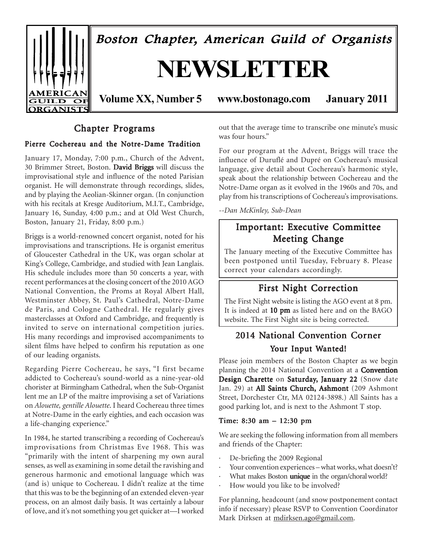

# Chapter Programs

# Pierre Cochereau and the Notre-Dame Tradition

January 17, Monday, 7:00 p.m., Church of the Advent, 30 Brimmer Street, Boston. David Briggs will discuss the improvisational style and influence of the noted Parisian organist. He will demonstrate through recordings, slides, and by playing the Aeolian-Skinner organ. (In conjunction with his recitals at Kresge Auditorium, M.I.T., Cambridge, January 16, Sunday, 4:00 p.m.; and at Old West Church, Boston, January 21, Friday, 8:00 p.m.)

Briggs is a world-renowned concert organist, noted for his improvisations and transcriptions. He is organist emeritus of Gloucester Cathedral in the UK, was organ scholar at King's College, Cambridge, and studied with Jean Langlais. His schedule includes more than 50 concerts a year, with recent performances at the closing concert of the 2010 AGO National Convention, the Proms at Royal Albert Hall, Westminster Abbey, St. Paul's Cathedral, Notre-Dame de Paris, and Cologne Cathedral. He regularly gives masterclasses at Oxford and Cambridge, and frequently is invited to serve on international competition juries. His many recordings and improvised accompaniments to silent films have helped to confirm his reputation as one of our leading organists.

Regarding Pierre Cochereau, he says, "I first became addicted to Cochereau's sound-world as a nine-year-old chorister at Birmingham Cathedral, when the Sub-Organist lent me an LP of the maître improvising a set of Variations on *Alouette, gentille Alouette*. I heard Cochereau three times at Notre-Dame in the early eighties, and each occasion was a life-changing experience."

In 1984, he started transcribing a recording of Cochereau's improvisations from Christmas Eve 1968. This was "primarily with the intent of sharpening my own aural senses, as well as examining in some detail the ravishing and generous harmonic and emotional language which was (and is) unique to Cochereau. I didn't realize at the time that this was to be the beginning of an extended eleven-year process, on an almost daily basis. It was certainly a labour of love, and it's not something you get quicker at—I worked out that the average time to transcribe one minute's music was four hours."

For our program at the Advent, Briggs will trace the influence of Duruflé and Dupré on Cochereau's musical language, give detail about Cochereau's harmonic style, speak about the relationship between Cochereau and the Notre-Dame organ as it evolved in the 1960s and 70s, and play from his transcriptions of Cochereau's improvisations.

*--Dan McKinley, Sub-Dean*

# Important: Executive Committee Meeting Change

The January meeting of the Executive Committee has been postponed until Tuesday, February 8. Please correct your calendars accordingly.

# First Night Correction

The First Night website is listing the AGO event at 8 pm. It is indeed at 10 pm as listed here and on the BAGO website. The First Night site is being corrected.

# 2014 National Convention Corner Your Input Wanted!

Please join members of the Boston Chapter as we begin planning the 2014 National Convention at a Convention Design Charette on Saturday, January 22 (Snow date Jan. 29) at All Saints Church, Ashmont (209 Ashmont Street, Dorchester Ctr, MA 02124-3898.) All Saints has a good parking lot, and is next to the Ashmont T stop.

# Time: 8:30 am – 12:30 pm

We are seeking the following information from all members and friends of the Chapter:

- De-briefing the 2009 Regional
- Your convention experiences what works, what doesn't?
- What makes Boston *unique* in the organ/choral world?
- How would you like to be involved?

For planning, headcount (and snow postponement contact info if necessary) please RSVP to Convention Coordinator Mark Dirksen at mdirksen.ago@gmail.com.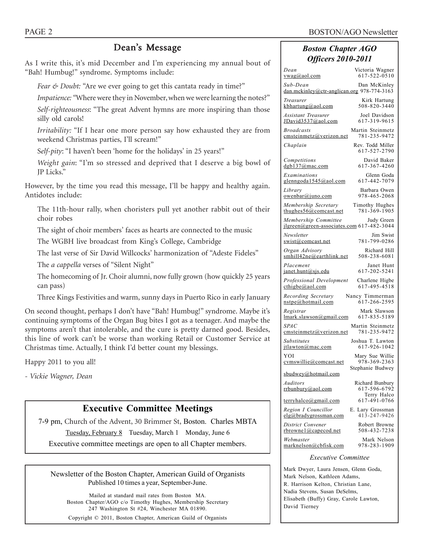# Dean's Message

As I write this, it's mid December and I'm experiencing my annual bout of "Bah! Humbug!" syndrome. Symptoms include:

*Fear & Doubt:* "Are we ever going to get this cantata ready in time?"

*Impatience: "*Where were they in November, when we were learning the notes?"

*Self-righteousness*: "The great Advent hymns are more inspiring than those silly old carols!

*Irritability:* "If I hear one more person say how exhausted they are from weekend Christmas parties, I'll scream!"

S*elf-pity*: "I haven't been 'home for the holidays' in 25 years!"

*Weight gain*: "I'm so stressed and deprived that I deserve a big bowl of JP Licks."

However, by the time you read this message, I'll be happy and healthy again. Antidotes include:

The 11th-hour rally, when choristers pull yet another rabbit out of their choir robes

The sight of choir members' faces as hearts are connected to the music

The WGBH live broadcast from King's College, Cambridge

The last verse of Sir David Willcocks' harmonization of "Adeste Fideles"

The *a cappella* verses of "Silent Night"

The homecoming of Jr. Choir alumni, now fully grown (how quickly 25 years can pass)

Three Kings Festivities and warm, sunny days in Puerto Rico in early January

On second thought, perhaps I don't have "Bah! Humbug!" syndrome. Maybe it's continuing symptoms of the Organ Bug bites I got as a teenager. And maybe the symptoms aren't that intolerable, and the cure is pretty darned good. Besides, this line of work can't be worse than working Retail or Customer Service at Christmas time. Actually, I think I'd better count my blessings.

Happy 2011 to you all!

*- Vickie Wagner, Dean*

# **Executive Committee Meetings**

7-9 pm, Church of the Advent, 30 Brimmer St, Boston. Charles MBTA Tuesday, February 8 Tuesday, March 1 Monday, June 6 Executive committee meetings are open to all Chapter members.

Newsletter of the Boston Chapter, American Guild of Organists Published 10 times a year, September-June.

Mailed at standard mail rates from Boston MA. Boston Chapter/AGO c/o Timothy Hughes, Membership Secretary 247 Washington St #24, Winchester MA 01890. Copyright © 2011, Boston Chapter, American Guild of Organists

# *Boston Chapter AGO Officers 2010-2011*

| Dean<br>$vwa$ g(a)aol.com                                         | Victoria Wagner<br>617-522-0510                |
|-------------------------------------------------------------------|------------------------------------------------|
| Sub-Dean<br>dan.mckinley@ctr-anglican.org 978-774-3163            | Dan McKinley                                   |
| Treasurer<br>kbhartung@aol.com                                    | Kirk Hartung<br>508-820-3440                   |
| <b>Assistant Treasurer</b><br>JDavid3537@aol.com                  | Joel Davidson<br>617-319-9615                  |
| <b>Broadcasts</b><br>emsteinmetz@verizon.net                      | Martin Steinmetz<br>781-235-9472               |
| Chaplain                                                          | Rev. Todd Miller<br>617-527-2790               |
| Competitions<br>dgb137@mac.com                                    | David Baker<br>617-367-4260                    |
| Examinations<br>glenngoda1545@aol.com                             | Glenn Goda<br>617-442-7079                     |
| Library<br>owenbar@juno.com                                       | Barbara Owen<br>978-465-2068                   |
| Membership Secretary<br>thughes $56@$ comcast.net                 | Timothy Hughes<br>781-369-1905                 |
| Membership Committee<br>jlgreen@green-associates.com 617-482-3044 | Judy Green                                     |
| Newsletter<br>swist@comcast.net                                   | Jim Swist<br>781-799-0286                      |
| Organ Advisory<br>smhill42ne@earthlink.net                        | Richard Hill<br>508-238-6081                   |
| Placement<br>janet.hunt@sjs.edu                                   | Janet Hunt<br>617-202-5241                     |
| Professional Development<br>$\text{cthigbe}(a)$ aol.com           | Charlene Higbe<br>617-495-4518                 |
| Recording Secretary<br>nstpe@hotmail.com                          | Nancy Timmerman<br>617-266-2595                |
| Registrar<br>lmark.slawson@gmail.com                              | Mark Slawson<br>617-835-5189                   |
| <i>SPAC</i><br>emsteinmetz@verizon.net                            | Martin Steinmetz<br>781-235-9472               |
| <b>Substitutes</b><br>jtlawton@mac.com                            | Joshua T. Lawton<br>617-926-1042               |
| YOI<br>cvmswillie@comcast.net                                     | Mary Sue Willie<br>978-369-2363                |
| sbudwey@hotmail.com                                               | Stephanie Budwey                               |
| Auditors<br>rrbunbury@aol.com                                     | Richard Bunbury<br>617-596-6792<br>Terry Halco |
| <u>terryhalco@gmail.com</u>                                       | 617-491-0766                                   |
| Region I Councillor<br>elg@bradygrossman.com                      | E. Lary Grossman<br>413-247-9426               |
| District Convener<br>rbrownel@capecod.net                         | Robert Browne<br>508-432-7238                  |
| Webmaster<br>marknelson@cbfisk.com                                | Mark Nelson<br>978-283-1909                    |
|                                                                   |                                                |

#### *Executive Committee*

Mark Dwyer, Laura Jensen, Glenn Goda, Mark Nelson, Kathleen Adams, R. Harrison Kelton, Christian Lane, Nadia Stevens, Susan DeSelms, Elisabeth (Buffy) Gray, Carole Lawton, David Tierney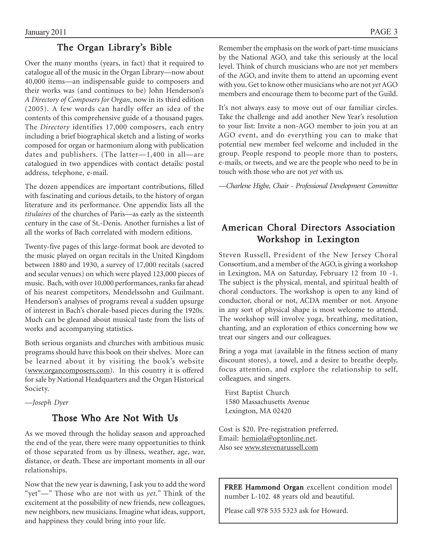# The Organ Library's Bible

Over the many months (years, in fact) that it required to catalogue all of the music in the Organ Library—now about 40,000 items—an indispensable guide to composers and their works was (and continues to be) John Henderson's *A Directory of Composers for Organ*, now in its third edition (2005). A few words can hardly offer an idea of the contents of this comprehensive guide of a thousand pages. The *Directory* identifies 17,000 composers, each entry including a brief biographical sketch and a listing of works composed for organ or harmonium along with publication dates and publishers. (The latter—1,400 in all—are catalogued in two appendices with contact details: postal address, telephone, e-mail.

The dozen appendices are important contributions, filled with fascinating and curious details, to the history of organ literature and its performance. One appendix lists all the *titulaires* of the churches of Paris—as early as the sixteenth century in the case of St.-Denis. Another furnishes a list of all the works of Bach correlated with modern editions.

Twenty-five pages of this large-format book are devoted to the music played on organ recitals in the United Kingdom between 1880 and 1930, a survey of 17,000 recitals (sacred and secular venues) on which were played 123,000 pieces of music. Bach, with over 10,000 performances, ranks far ahead of his nearest competitors, Mendelssohn and Guilmant. Henderson's analyses of programs reveal a sudden upsurge of interest in Bach's chorale-based pieces during the 1920s. Much can be gleaned about musical taste from the lists of works and accompanying statistics.

Both serious organists and churches with ambitious music programs should have this book on their shelves. More can be learned about it by visiting the book's website (www.organcomposers.com). In this country it is offered for sale by National Headquarters and the Organ Historical Society.

*—Joseph Dyer*

# Those Who Are Not With Us

As we moved through the holiday season and approached the end of the year, there were many opportunities to think of those separated from us by illness, weather, age, war, distance, or death. These are important moments in all our relationships.

Now that the new year is dawning, I ask you to add the word "yet"—" Those who are not with us *yet.*" Think of the excitement at the possibility of new friends, new colleagues, new neighbors, new musicians. Imagine what ideas, support, and happiness they could bring into your life.

Remember the emphasis on the work of part-time musicians by the National AGO, and take this seriously at the local level. Think of church musicians who are not *yet* members of the AGO, and invite them to attend an upcoming event with you. Get to know other musicians who are not *yet* AGO members and encourage them to become part of the Guild.

It's not always easy to move out of our familiar circles. Take the challenge and add another New Year's resolution to your list: Invite a non-AGO member to join you at an AGO event, and do everything you can to make that potential new member feel welcome and included in the group. People respond to people more than to posters, e-mails, or tweets, and we are the people who need to be in touch with those who are not *yet* with us.

*—Charlene Higbe, Chair - Professional Development Committee*

# American Choral Directors Association Workshop in Lexington

Steven Russell, President of the New Jersey Choral Consortium, and a member of the AGO, is giving a workshop in Lexington, MA on Saturday, February 12 from 10 -1. The subject is the physical, mental, and spiritual health of choral conductors. The workshop is open to any kind of conductor, choral or not, ACDA member or not. Anyone in any sort of physical shape is most welcome to attend. The workshop will involve yoga, breathing, meditation, chanting, and an exploration of ethics concerning how we treat our singers and our colleagues.

Bring a yoga mat (available in the fitness section of many discount stores), a towel, and a desire to breathe deeply, focus attention, and explore the relationship to self, colleagues, and singers.

First Baptist Church 1580 Massachusetts Avenue Lexington, MA 02420

Cost is \$20. Pre-registration preferred. Email: hemiola@optonline.net. Also see www.stevenarussell.com

FREE Hammond Organ excellent condition model number L-102. 48 years old and beautiful.

Please call 978 535 5323 ask for Howard.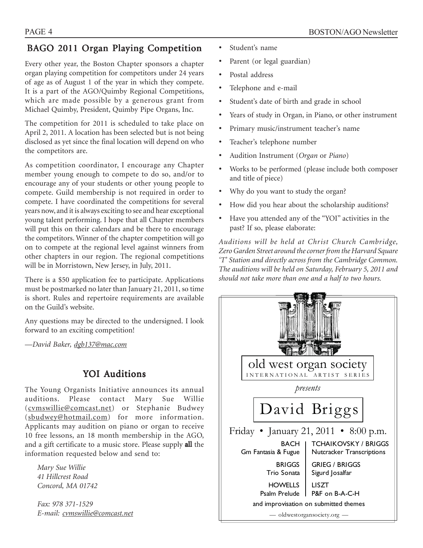# BAGO 2011 Organ Playing Competition

Every other year, the Boston Chapter sponsors a chapter organ playing competition for competitors under 24 years of age as of August 1 of the year in which they compete. It is a part of the AGO/Quimby Regional Competitions, which are made possible by a generous grant from Michael Quimby, President, Quimby Pipe Organs, Inc.

The competition for 2011 is scheduled to take place on April 2, 2011. A location has been selected but is not being disclosed as yet since the final location will depend on who the competitors are.

As competition coordinator, I encourage any Chapter member young enough to compete to do so, and/or to encourage any of your students or other young people to compete. Guild membership is not required in order to compete. I have coordinated the competitions for several years now, and it is always exciting to see and hear exceptional young talent performing. I hope that all Chapter members will put this on their calendars and be there to encourage the competitors. Winner of the chapter competition will go on to compete at the regional level against winners from other chapters in our region. The regional competitions will be in Morristown, New Jersey, in July, 2011.

There is a \$50 application fee to participate. Applications must be postmarked no later than January 21, 2011, so time is short. Rules and repertoire requirements are available on the Guild's website.

Any questions may be directed to the undersigned. I look forward to an exciting competition!

*—David Baker, dgb137@mac.com*

# YOI Auditions

The Young Organists Initiative announces its annual auditions. Please contact Mary Sue Willie (cvmswillie@comcast.net) or Stephanie Budwey (sbudwey@hotmail.com) for more information. Applicants may audition on piano or organ to receive 10 free lessons, an 18 month membership in the AGO, and a gift certificate to a music store. Please supply all the information requested below and send to:

*Mary Sue Willie 41 Hillcrest Road Concord, MA 01742*

*Fax: 978 371-1529 E-mail: cvmswillie@comcast.net*

- Student's name
- Parent (or legal guardian)
- Postal address
- Telephone and e-mail
- Student's date of birth and grade in school
- Years of study in Organ, in Piano, or other instrument
- Primary music/instrument teacher's name
- Teacher's telephone number
- Audition Instrument (*Organ* or *Piano*)
- Works to be performed (please include both composer and title of piece)
- Why do you want to study the organ?
- How did you hear about the scholarship auditions?
- Have you attended any of the "YOI" activities in the past? If so, please elaborate:

*Auditions will be held at Christ Church Cambridge, Zero Garden Street around the corner from the Harvard Square 'T' Station and directly across from the Cambridge Common. The auditions will be held on Saturday, February 5, 2011 and should not take more than one and a half to two hours.*

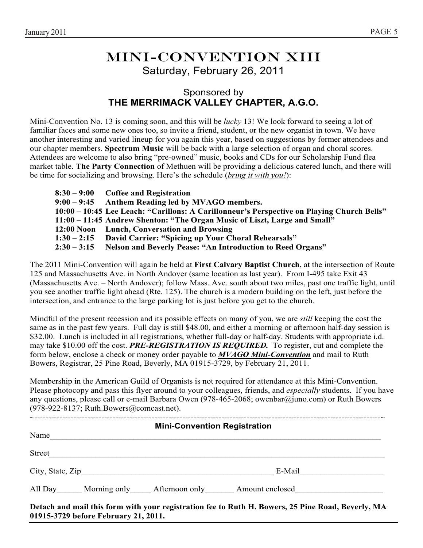# Mini-convention XIII Saturday, February 26, 2011

# Sponsored by **THE MERRIMACK VALLEY CHAPTER, A.G.O.**

Mini-Convention No. 13 is coming soon, and this will be *lucky* 13! We look forward to seeing a lot of familiar faces and some new ones too, so invite a friend, student, or the new organist in town. We have another interesting and varied lineup for you again this year, based on suggestions by former attendees and our chapter members. **Spectrum Music** will be back with a large selection of organ and choral scores. Attendees are welcome to also bring "pre-owned" music, books and CDs for our Scholarship Fund flea market table. **The Party Connection** of Methuen will be providing a delicious catered lunch, and there will be time for socializing and browsing. Here's the schedule (*bring it with you!*):

|  | $8:30 - 9:00$ Coffee and Registration                                                      |
|--|--------------------------------------------------------------------------------------------|
|  | 9:00 – 9:45 Anthem Reading led by MVAGO members.                                           |
|  | 10:00 - 10:45 Lee Leach: "Carillons: A Carillonneur's Perspective on Playing Church Bells" |
|  | 11:00 – 11:45 Andrew Shenton: "The Organ Music of Liszt, Large and Small"                  |
|  | 12:00 Noon Lunch, Conversation and Browsing                                                |
|  | 1:30 – 2:15 David Carrier: "Spicing up Your Choral Rehearsals"                             |
|  | 2:30 - 3:15 Nelson and Beverly Pease: "An Introduction to Reed Organs"                     |

The 2011 Mini-Convention will again be held at **First Calvary Baptist Church**, at the intersection of Route 125 and Massachusetts Ave. in North Andover (same location as last year). From I-495 take Exit 43 (Massachusetts Ave. – North Andover); follow Mass. Ave. south about two miles, past one traffic light, until you see another traffic light ahead (Rte. 125). The church is a modern building on the left, just before the intersection, and entrance to the large parking lot is just before you get to the church.

Mindful of the present recession and its possible effects on many of you, we are *still* keeping the cost the same as in the past few years. Full day is still \$48.00, and either a morning or afternoon half-day session is \$32.00. Lunch is included in all registrations, whether full-day or half-day. Students with appropriate i.d. may take \$10.00 off the cost. *PRE-REGISTRATION IS REQUIRED.* To register, cut and complete the form below, enclose a check or money order payable to *MVAGO Mini-Convention* and mail to Ruth Bowers, Registrar, 25 Pine Road, Beverly, MA 01915-3729, by February 21, 2011.

Membership in the American Guild of Organists is not required for attendance at this Mini-Convention. Please photocopy and pass this flyer around to your colleagues, friends, and *especially* students. If you have any questions, please call or e-mail Barbara Owen (978-465-2068; owenbar@juno.com) or Ruth Bowers (978-922-8137; Ruth.Bowers@comcast.net).

| E-Mail $\qquad \qquad \qquad$                       |
|-----------------------------------------------------|
| All Day Morning only Afternoon only Amount enclosed |
|                                                     |

**Detach and mail this form with your registration fee to Ruth H. Bowers, 25 Pine Road, Beverly, MA 01915-3729 before February 21, 2011.**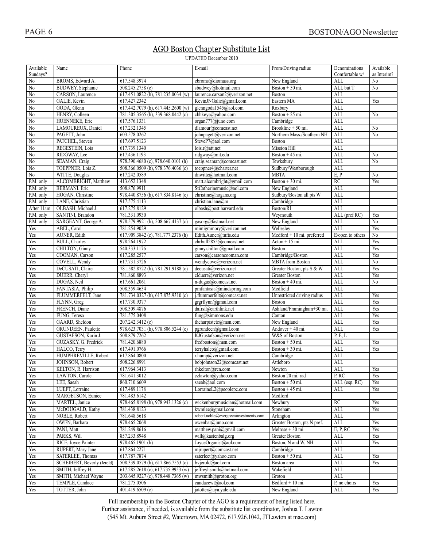# AGO Boston Chapter Substitute List

**UPDATED December 2010** 

| Available<br>Sundays? | Name                        | Phone                              | E-mail                                | From/Driving radius          | Denominations<br>Comfortable w/ | Available<br>as Interim? |
|-----------------------|-----------------------------|------------------------------------|---------------------------------------|------------------------------|---------------------------------|--------------------------|
| $\rm No$              | BROMS, Edward A.            | 617.548.3974                       | ebroms@diomass.org                    | New England                  | ALL                             | No                       |
| No                    | BUDWEY, Stephanie           | 508.245.2758 (c)                   | sbudwey@hotmail.com                   | Boston $+50$ mi.             | ALL but T                       | No                       |
| No                    | CARSON, Laurence            | 617.451.0822 (h), 781.235.0034 (w) | laurence.carson2@verizon.net          | Boston                       | ALL                             |                          |
| No                    | GALIÉ, Kevin                | 617.427.2342                       | KevinJNGalie@gmail.com                | Eastern MA                   | ALL                             | Yes                      |
| $\rm No$              | GODA, Glenn                 | 617.442.7079 (h), 617.445.2600 (w) | glenngoda1545@aol.com                 | Roxbury                      | <b>ALL</b>                      |                          |
| $\rm No$              | HENRY, Colleen              | 781.305.3565 (h), 339.368.0442 (c) | cbhkeys@yahoo.com                     | Boston + $25$ mi.            | <b>ALL</b>                      | No                       |
| No                    | HUENNEKE, Eric              | 617.576.1331                       | organ777@juno.com                     | Cambridge                    | <b>ALL</b>                      |                          |
| No                    | LAMOUREUX, Daniel           | 617.232.1345                       | dlamour@comcast.net                   | Brookline + 50 mi.           | <b>ALL</b>                      | No                       |
| No                    | PAGETT, John                | 603.578.0262                       | johnpagett@verizon.net                | Northern Mass./Southern NH   | <b>ALL</b>                      | No                       |
| $\rm No$              | PATCHEL, Steven             | 617.697.5123                       | SteveP7@aol.com                       | Boston                       | <b>ALL</b>                      |                          |
| No                    | REGESTEIN, Lois             | 617.739.1340                       | lois.r@att.net                        | Mission Hill                 | <b>ALL</b>                      |                          |
| No                    | RIDGWAY, Lee                | 617.436.1193                       | ridgway@mit.edu                       | Boston $+45$ mi.             | <b>ALL</b>                      | N <sub>0</sub>           |
| No                    | SEAMAN, Craig               | 978.390.4680 (c), 978.640.0101 (h) | craig.seaman@comcast.net              | Tewksbury                    | <b>ALL</b>                      | No                       |
| $\rm No$              | TOEPPNER, Lois Z.           | 508.366.0509 (h), 978.376.4036 (c) | toeppner4@charter.net                 | Sudbury/Westborough          | <b>ALL</b>                      |                          |
| $\rm No$              | WITTE, Douglas              | 617.242.0589                       | dnwitte@hotmail.com                   | <b>MBTA</b>                  | E, P                            | No                       |
| P.M. only             | ALCOMBRIGHT, Matthew        | 413.652.1348                       | matt.alcombright@gmail.com            | Boston + $30$ mi.            | RC                              | Yes                      |
| P.M. only             | <b>BERMANI</b> . Eric       | 508.876.9911                       | StCatherinemusic@aol.com              | New England                  | <b>ALL</b>                      |                          |
| P.M. only             | HOGAN, Christine            | 978.440.8756 (h), 617.834.8146 (c) | christine@hogans.org                  | Sudbury/Boston all pts W     | <b>ALL</b>                      |                          |
| P.M. only             | LANE, Christian             | 917.575.4113                       | christian.lane@m                      | Cambridge                    | ALL                             |                          |
| After 11am            | OLBASH, Michael J.          | 617.275.8129                       | olbash@post.harvard.edu               | Boston/RI                    | <b>ALL</b>                      |                          |
| P.M. only             | SANTINI, Brandon            | 781.331.0930                       |                                       | Weymouth                     | ALL (pref RC)                   | Yes                      |
| P.M. only             | SARGEANT, George A.         | 978.579.9921 (h), 508.667.4137 (c) | gasorg@fastmail.net                   | New England                  | <b>ALL</b>                      | No                       |
| Yes                   | ABEL, Carol                 | 781.254.9029                       | mimigramory@verizon.net               | Wellesley                    | <b>ALL</b>                      | Yes                      |
| Yes                   | AUNER, Edith                | 617.909.3842 (c), 781.777.2376 (h) | Edith.Auner@tufts.edu                 | $Medford + 10 mi.$ preferred | E/open to others                | No                       |
| Yes                   | <b>BULL</b> , Charles       | 978.264.1972                       | chrbull2855@comcast.net               | $Action + 15 mi$ .           | ALL                             | Yes                      |
| Yes                   | CHILTON, Ginny              | 540.333.1176                       | ginny.chilton@gmail.com               | Boston                       | <b>ALL</b>                      | Yes                      |
| Yes                   | COOMAN, Carson              | 617.285.2577                       | carson@carsoncooman.com               | Cambridge/Boston             | <b>ALL</b>                      | Yes                      |
| Yes                   | COVELL, Wendy               | 617.731.3726                       | wendycove@verizon.net                 | <b>MBTA</b> from Boston      | <b>ALL</b>                      | $\overline{No}$          |
| Yes                   | DeCUSATI, Claire            | 781.582.8722 (h), 781.291.9188 (c) | decusati@verizon.net                  | Greater Boston, pts S & W    | ALL                             | Yes                      |
| Yes                   | DUERR, Cheryl               | 781.860.8893                       | clduerr@verizon.net                   | Greater Boston               | <b>ALL</b>                      | Yes                      |
| Yes                   | DUGAS, Neil                 | 617.661.2061                       | n-dugas@comcast.net                   | Boston $+40$ mi.             | <b>ALL</b>                      | No                       |
| Yes                   | FANTASIA, Philip            | 508.359.4634                       | pmfantasia@mindspring.com             | Medfield                     | <b>ALL</b>                      |                          |
| Yes                   | FLUMMERFELT, Jane           | 781.734.0327 (h), 617.875.9310 (c) | i.flummerfelt@comcast.net             | Unrestricted driving radius  | <b>ALL</b>                      | Yes                      |
| Yes                   | FLYNN, Greg                 | 617.730.9377                       | grgrflynn@gmail.com                   | <b>Boston</b>                | <b>ALL</b>                      | Yes                      |
| Yes                   | FRENCH, Diane               | 508.309.4876                       | dafrsf@earthlink.net                  | Ashland/Framingham+30 mi.    | ALL                             | Yes                      |
| Yes                   | FUNG, Teresa                | 781.575.0408                       | fung@simmons.edu                      | Canton                       | <b>ALL</b>                      | Yes                      |
| Yes                   | GAARD, Sheldon              | 207.242.3412 (c)                   | the harpistetc@msn.com                | New England                  | <b>ALL</b>                      | Yes                      |
| Yes                   | GRUNDEEN, Paulette          | 978.623.7031 (h), 978.806.5244 (c) | pgrundeen@gmail.com                   | Andover + 40 mi.             | <b>ALL</b>                      | Yes                      |
| Yes                   | GUSTAFSON, Karin J.         | 508.879.7262                       | KJGustafson@verizon.net               | W&S of Boston                | P, E, L                         |                          |
| Yes                   | GUZASKY, G. Fredrick        | 781.420.6880                       | fredboston@msn.com                    | Boston $+50$ mi.             | ALL                             | Yes                      |
| Yes                   | HALCO, Terry                | 617.491.0766                       | terryhalco@gmail.com                  | Boston + $30$ mi.            | <b>ALL</b>                      | Yes                      |
| Yes                   | HUMPHREVILLE, Robert        | 617.864.0800                       | r.hump@verizon.net                    | Cambridge                    | <b>ALL</b>                      |                          |
| Yes                   | JOHNSON, Robert             | 508.226.8991                       | bobjohnson22@comcast.net              | Attleboro                    | <b>ALL</b>                      |                          |
| Yes                   | KELTON, R. Harrison         | 617.964.3413                       | rkelton@rcn.com                       | Newton                       | ALL                             | Yes                      |
| Yes                   | LAWTON, Carole              | 781.641.3012                       | czlawton@yahoo.com                    | Boston 20 mi. rad            | P, RC                           | Yes                      |
| Yes                   | LEE, Saeah                  | 860.710.6609                       | saeah@aol.com                         | Boston $+50$ mi.             | ALL (esp. RC)                   | Yes                      |
| Yes                   | LUEFT, Lorraine             | 617.489.1178                       | LorraineL2@peoplepc.com               | Boston + $45$ mi.            | ALL                             | Yes                      |
| Yes                   | MARGETSON, Eunice           | 781.483.6142                       |                                       | Medford                      |                                 |                          |
| Yes                   | MARTEL, Janice              | 978.465.8198 (h), 978.943.1326 (c) | wickenburgmusician@hotmail.com        | Newbury                      | <b>RC</b>                       | Yes                      |
| Yes                   | McDOUGALD, Kathy            | 781.438.8123                       | kwmlee@gmail.com                      | Stoneham                     | <b>ALL</b>                      | Yes                      |
| Yes                   | NOBLE, Robert               | 781.648.5618                       | robert.noble@evergreeninvestments.com | Arlington                    | $\mbox{ALL}$                    |                          |
| Yes                   | OWEN, Barbara               | 978.465.2068                       | owenbar@juno.com                      | Greater Boston, pts N pref.  | <b>ALL</b>                      | Yes                      |
| Yes                   | PANI, Matt                  | 781.249.8616                       | matthew.pani@gmail.com                | Melrose $+30$ mi.            | E, P, RC                        | Yes                      |
| Yes                   | PARKS, Will                 | 857.233.8948                       | will@kastenbalg.org                   | <b>Greater Boston</b>        | ALL                             | Yes                      |
| Yes                   | RICE, Joyce Painter         | 978.465.1901 (h)                   | JoyceOrganist@aol.com                 | Boston, N and W, NH          | ALL                             | Yes                      |
| Yes                   | RUPERT, Mary Jane           | 617.864.2271                       | mjrupert@comcast.net                  | Cambridge                    | ALL                             |                          |
| Yes                   | SATERLEE, Thomas            | 617.787.7874                       | saterleet@yahoo.com                   | Boston $+50$ mi.             | ALL                             | Yes                      |
| Yes                   | SCHEIBERT, Beverly (Jerold) | 508.339.0579 (h), 617.866.7553 (c) | bvjerold@aol.com                      | Boston area                  | ALL                             | Yes                      |
| Yes                   | SMITH, Jeffrey H.           | 617.285.2618 (c), 617.735.9953 (w) | jeffreyhsmith@hotmail.com             | Wakefield                    | $\mbox{ALL}$                    |                          |
| Yes                   | SMITH, Michael Wayne        | 203.645.9227 (c), 978.448.7365 (w) | mwsmith@groton.org                    | Groton                       | <b>ALL</b>                      |                          |
| Yes                   | TEMPLE, Candace             | 781.275.0506                       | candacewt@aol.com                     | Bedford + 10 mi.             | P, no choirs                    | Yes                      |
| Yes                   | TOTTER, John                | 401.419.6509 (c)                   | jatotter@aya.yale.edu                 | New England                  | $\mbox{ALL}$                    | Yes                      |

Full membership in the Boston Chapter of the  $AGO$  is a requirement of being listed here. Further assistance, if needed, is available from the substitute list coordinator, Joshua T. Lawton  $(545 \text{ Mt}$ , Auburn Street #2, Watertown, MA 02472, 617,926,1042, JTL awton at mac.com)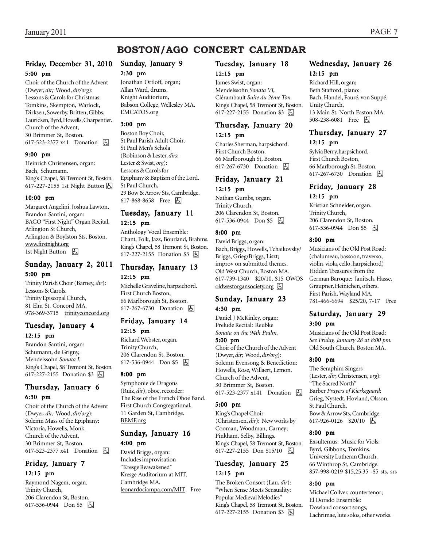# **BOSTON/AGO CONCERT CALENDAR**

#### Friday, December 31, 2010 5:00 pm

Choir of the Church of the Advent (Dwyer, *dir;* Wood, *dir/org*): Lessons & Carols for Christmas: Tomkins, Skempton, Warlock, Dirksen, Sowerby, Britten, Gibbs, Lauridsen, Byrd, Howells, Charpentier. Church of the Advent, 30 Brimmer St, Boston. 617-523-2377 x41 Donation **A** 

#### 9:00 pm

Heinrich Christensen, organ: Bach, Schumann. King's Chapel, 58 Tremont St, Boston. 617-227-2155 1st Night Button  $\boxed{6}$ 

#### 10:00 pm

Margaret Angelini, Joshua Lawton, Brandon Santini, organ: BAGO "First Night" Organ Recital. Arlington St Church, Arlington & Boylston Sts, Boston. www.firstnight.org 1st Night Button **b** 

### Sunday, January 2, 2011

#### 5:00 pm

Trinity Parish Choir (Barney, *dir*): Lessons & Carols. Trinity Episcopal Church, 81 Elm St, Concord MA. 978-369-3715 trinityconcord.org

### Tuesday, January 4 12:15 pm

Brandon Santini, organ: Schumann, de Grigny, Mendelssohn *Sonata I.* King's Chapel, 58 Tremont St, Boston. 617-227-2155 Donation \$3 **b** 

### Thursday, January 6 6:30 pm

Choir of the Church of the Advent (Dwyer, *dir;* Wood, *dir/org*): Solemn Mass of the Epiphany: Victoria, Howells, Monk. Church of the Advent, 30 Brimmer St, Boston. 617-523-2377 x41 Donation **b** 

### Friday, January 7 12:15 pm

Raymond Nagem, organ. Trinity Church, 206 Clarendon St, Boston. 617-536-0944 Don \$5  $\Box$ 

# Sunday, January 9

#### 2:30 pm

Jonathan Ortloff, organ; Allan Ward, drums. Knight Auditorium, Babson College, Wellesley MA. EMCATOS.org

#### 3:00 pm

Boston Boy Choir, St Paul Parish Adult Choir, St Paul Men's Schola (Robinson & Lester, *dirs*; Lester & Swist, *org*): Lessons & Carols for Epiphany & Baptism of the Lord. St Paul Church, 29 Bow & Arrow Sts, Cambridge. 617-868-8658 Free 因

# Tuesday, January 11 12:15 pm

Anthology Vocal Ensemble: Chant, Folk, Jazz, Bourland, Brahms. King's Chapel, 58 Tremont St, Boston. 617-227-2155 Donation \$3 因

# Thursday, January 13 12:15 pm

Michelle Graveline, harpsichord. First Church Boston, 66 Marlborough St, Boston. 617-267-6730 Donation  $\Box$ 

#### Friday, January 14 12:15 pm

Richard Webster, organ. Trinity Church, 206 Clarendon St, Boston. 617-536-0944 Don \$5 h

#### 8:00 pm

Symphonie de Dragons (Ruiz, *dir*), oboe, recorder: The Rise of the French Oboe Band. First Church Congregational, 11 Garden St, Cambridge. BEMF.org

#### Sunday, January 16 4:00 pm

David Briggs, organ: Includes improvisation "Kresge Reawakened" Kresge Auditorium at MIT, Cambridge MA. leonardociampa.com/MIT Free

### Tuesday, January 18 12:15 pm

James Swist, organ: Mendelssohn *Sonata VI,* Clérambault *Suite du 2ème Ton.* King's Chapel, 58 Tremont St, Boston. 617-227-2155 Donation \$3 囚

### Thursday, January 20 12:15 pm

Charles Sherman, harpsichord. First Church Boston, 66 Marlborough St, Boston. 617-267-6730 Donation **b** 

### Friday, January 21 12:15 pm

Nathan Gumbs, organ. Trinity Church, 206 Clarendon St, Boston. 617-536-0944 Don \$5 h

#### 8:00 pm

David Briggs, organ: Bach, Briggs, Howells, Tchaikovsky/ Briggs, Grieg/Briggs, Liszt; improv on submitted themes. Old West Church, Boston MA. 617-739-1340 \$20/10, \$15 OWOS oldwestorgansociety.org  $\boxed{6}$ 

### Sunday, January 23 4:30 pm

Daniel J McKinley, organ:

Prelude Recital: Reubke *Sonata on the 94th Psalm.*

### 5:00 pm

Choir of the Church of the Advent (Dwyer, *dir;* Wood, *dir/org*): Solemn Evensong & Benediction: Howells, Rose, Willaert, Lemon. Church of the Advent, 30 Brimmer St, Boston. 617-523-2377 x141 Donation **b** 

#### 5:00 pm

King's Chapel Choir (Christensen, *dir*): New works by Cooman, Woodman, Carney; Pinkham, Selby, Billings. King's Chapel, 58 Tremont St, Boston. 617-227-2155 Don \$15/10 | A

#### Tuesday, January 25 12:15 pm

The Broken Consort (Lau, *dir*): "When Sense Meets Sensuality: Popular Medieval Melodies" King's Chapel, 58 Tremont St, Boston. 617-227-2155 Donation \$3 囚

# Wednesday, January 26 12:15 pm

Richard Hill, organ; Beth Stafford, piano: Bach, Handel, Fauré, von Suppé. Unity Church, 13 Main St, North Easton MA. 508-238-6081 Free 因

# Thursday, January 27 12:15 pm

Sylvia Berry, harpsichord. First Church Boston, 66 Marlborough St, Boston. 617-267-6730 Donation **b** 

### Friday, January 28 12:15 pm

Kristian Schneider, organ. Trinity Church, 206 Clarendon St, Boston. 617-536-0944 Don \$5 h

#### 8:00 pm

Musicians of the Old Post Road: (chalumeau, bassoon, traverso, violin, viola, cello, harpsichord) Hidden Treasures from the German Baroque: Janitsch, Hasse, Graupner, Heinichen, others. First Parish, Wayland MA. 781-466-6694 \$25/20, 7-17 Free

# Saturday, January 29 3:00 pm

Musicians of the Old Post Road: *See Friday, January 28 at 8:00 pm.* Old South Church, Boston MA.

#### 8:00 pm

The Seraphim Singers (Lester, *dir*; Christensen, *org*): "The Sacred North" Barber *Prayers of Kierkegaard;* Grieg, Nystedt, Hovland, Olsson. St Paul Church, Bow & Arrow Sts, Cambridge. 617-926-0126 \$20/10 9

#### 8:00 pm

Exsultemus: Music for Viols: Byrd, Gibbons, Tomkins. University Lutheran Church, 66 Winthrop St, Cambridge. 857-998-0219 \$15,25,35 -\$5 sts, srs

#### 8:00 pm

Michael Collver, countertenor; El Dorado Ensemble: Dowland consort songs, Lachrimae, lute solos, other works.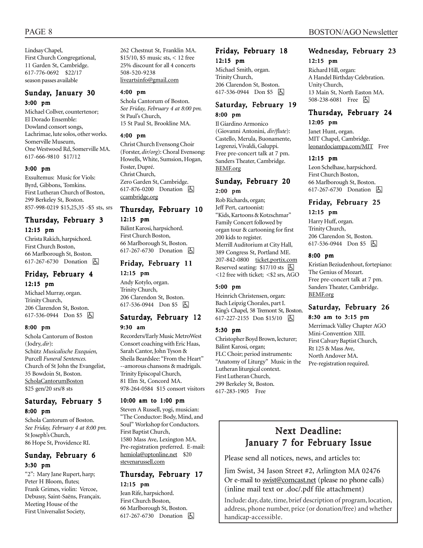Lindsay Chapel, First Church Congregational, 11 Garden St, Cambridge. 617-776-0692 \$22/17 season passes available

# Sunday, January 30 3:00 pm

Michael Collver, countertenor; El Dorado Ensemble: Dowland consort songs, Lachrimae, lute solos, other works. Somerville Museum, One Westwood Rd, Somerville MA. 617-666-9810 \$17/12

#### 3:00 pm

Exsultemus: Music for Viols: Byrd, Gibbons, Tomkins. First Lutheran Church of Boston, 299 Berkeley St, Boston. 857-998-0219 \$15,25,35 -\$5 sts, srs

# Thursday, February 3 12:15 pm

Christa Rakich, harpsichord. First Church Boston, 66 Marlborough St, Boston. 617-267-6730 Donation **b** 

### Friday, February 4 12:15 pm

Michael Murray, organ. Trinity Church, 206 Clarendon St, Boston. 617-536-0944 Don \$5 &

#### 8:00 pm

Schola Cantorum of Boston (Jodry, *dir*): Schütz *Musicalische Exequien,* Purcell *Funeral Sentences.* Church of St John the Evangelist, 35 Bowdoin St, Boston. ScholaCantorumBoston \$25 gen/20 srs/8 sts

### Saturday, February 5 8:00 pm

Schola Cantorum of Boston. *See Friday, February 4 at 8:00 pm.* St Joseph's Church, 86 Hope St, Providence RI.

### Sunday, February 6 3:30 pm

"2": Mary Jane Rupert, harp; Peter H Bloom, flutes; Frank Grimes, violin: Vercoe, Debussy, Saint-Saëns, Françaix. Meeting House of the First Universalist Society,

262 Chestnut St, Franklin MA. \$15/10, \$5 music sts, < 12 free 25% discount for all 4 concerts 508-520-9238 liveartsinfo@gmail.com

# 4:00 pm

Schola Cantorum of Boston. *See Friday, February 4 at 8:00 pm.* St Paul's Church, 15 St Paul St, Brookline MA.

#### 4:00 pm

Christ Church Evensong Choir (Forster, *dir/org*): Choral Evensong: Howells, White, Sumsion, Hogan, Foster, Dupré. Christ Church, Zero Garden St, Cambridge. 617-876-0200 Donation **b** ccambridge.org

# Thursday, February 10

#### 12:15 pm

Bálint Karosi, harpsichord. First Church Boston, 66 Marlborough St, Boston. 617-267-6730 Donation  $\Box$ 

### Friday, February 11 12:15 pm

Andy Kotylo, organ.

Trinity Church, 206 Clarendon St, Boston. 617-536-0944 Don \$5  $\boxed{6}$ 

### Saturday, February 12 9:30 am

Recorders/Early Music MetroWest Consort coaching with Eric Haas, Sarah Cantor, John Tyson & Sheila Beardslee: "From the Heart" --amorous chansons & madrigals. Trinity Episcopal Church, 81 Elm St, Concord MA. 978-264-0584 \$15 consort visitors

#### 10:00 am to 1:00 pm

Steven A Russell, yogi, musician: "The Conductor: Body, Mind, and Soul" Workshop for Conductors. First Baptist Church, 1580 Mass Ave, Lexington MA. Pre-registration preferred. E-mail: hemiola@optonline.net \$20 stevenarussell.com

### Thursday, February 17 12:15 pm

Jean Rife, harpsichord. First Church Boston, 66 Marlborough St, Boston. 617-267-6730 Donation **b** 

### Friday, February 18 12:15 pm

Michael Smith, organ. Trinity Church, 206 Clarendon St, Boston. 617-536-0944 Don \$5 因

# Saturday, February 19 8:00 pm

Il Giardino Armonico (Giovanni Antonini, *dir/flute*): Castello, Merula, Buonamente, Legrenzi, Vivaldi, Galuppi. Free pre-concert talk at 7 pm. Sanders Theater, Cambridge. BEMF.org

### Sunday, February 20 2:00 pm

Rob Richards, organ; Jeff Pert, cartoonist: "Kids, Kartoons & Kotzschmar" Family Concert followed by organ tour & cartooning for first 200 kids to register. Merrill Auditorium at City Hall, 389 Congress St, Portland ME. 207-842-0800 ticket.portix.com Reserved seating:  $$17/10$  sts  $\Box$ <12 free with ticket; <\$2 srs, AGO

#### 5:00 pm

Heinrich Christensen, organ: Bach Leipzig Chorales, part I. King's Chapel, 58 Tremont St, Boston. 617-227-2155 Don \$15/10 囚

### 5:30 pm

Christopher Boyd Brown, lecturer; Bálint Karosi, organ; FLC Choir; period instruments: "Anatomy of Liturgy" Music in the Lutheran liturgical context. First Lutheran Church, 299 Berkeley St, Boston. 617-283-1905 Free

# PAGE 8 BOSTON/AGO Newsletter

### Wednesday, February 23 12:15 pm

Richard Hill, organ: A Handel Birthday Celebration. Unity Church, 13 Main St, North Easton MA. 508-238-6081 Free 因

# Thursday, February 24 12:05 pm

Janet Hunt, organ. MIT Chapel, Cambridge. leonardociampa.com/MIT Free

#### 12:15 pm

Leon Schelhase, harpsichord. First Church Boston, 66 Marlborough St, Boston. 617-267-6730 Donation **b** 

# Friday, February 25

12:15 pm

Harry Huff, organ. Trinity Church, 206 Clarendon St, Boston. 617-536-0944 Don \$5 因

#### 8:00 pm

Kristian Beziudenhout, fortepiano: The Genius of Mozart. Free pre-concert talk at 7 pm. Sanders Theater, Cambridge. BEMF.org

### Saturday, February 26 8:30 am to 3:15 pm

Merrimack Valley Chapter AGO Mini-Convention XIII. First Calvary Baptist Church, Rt 125 & Mass Ave, North Andover MA. Pre-registration required.

# Next Deadline: January 7 for February Issue

Please send all notices, news, and articles to:

Jim Swist, 34 Jason Street #2, Arlington MA 02476 Or e-mail to swist@comcast.net (please no phone calls) (inline mail text or .doc/.pdf file attachment)

Include: day, date, time, brief description of program, location, address, phone number, price (or donation/free) and whether handicap-accessible.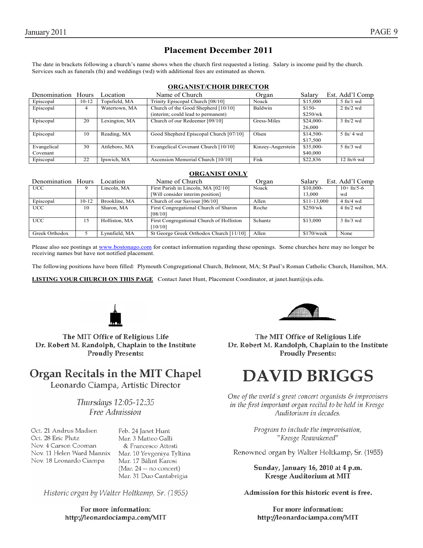# **Placement December 2011**

The date in brackets following a church's name shows when the church first requested a listing. Salary is income paid by the church. Services such as funerals (fn) and weddings (wd) with additional fees are estimated as shown.

#### **ORGANIST/CHOIR DIRECTOR**

| Denomination            | Hours   | Location      | Name of Church                                                            | Organ             | Salary                 | Est. Add'l Comp                 |
|-------------------------|---------|---------------|---------------------------------------------------------------------------|-------------------|------------------------|---------------------------------|
| Episcopal               | $10-12$ | Topsfield, MA | Trinity Episcopal Church [08/10]                                          | Noack             | \$15,000               | $5$ fn/1 wd                     |
| Episcopal               | 4       | Watertown, MA | Church of the Good Shepherd [10/10]<br>(interim; could lead to permanent) | Baldwin           | $$150-$<br>\$250/wk    | $2 \text{ ft}$ / $2 \text{ wd}$ |
| Episcopal               | 20      | Lexington, MA | Church of our Redeemer [09/10]                                            | Gress-Miles       | $$24,000-$<br>26,000   | $3 \text{ ft}$ /2 wd            |
| Episcopal               | 10      | Reading, MA   | Good Shepherd Episcopal Church [07/10]                                    | Olsen             | $$14,500-$<br>\$17,500 | $5 \text{ ft}$ / 4 wd           |
| Evangelical<br>Covenant | 30      | Attleboro, MA | Evangelical Covenant Church [10/10]                                       | Kinzey-Angerstein | \$35,000-<br>\$40,000  | $5 \text{ ft}$ /3 wd            |
| Episcopal               | 22      | Ipswich, MA   | Ascension Memorial Church [10/10]                                         | Fisk              | \$22,836               | $12 \text{ ft}/6 \text{ wd}$    |

#### **ORGANIST ONLY**

| Denomination Hours |         | Location      | Name of Church                           | Organ          | Salary       | Est. Add'l Comp             |
|--------------------|---------|---------------|------------------------------------------|----------------|--------------|-----------------------------|
| <b>UCC</b>         |         | Lincoln, MA   | First Parish in Lincoln, MA [02/10]      | Noack          | \$10,000-    | $10+fn/5-6$                 |
|                    |         |               | [Will consider interim position]         |                | 13,000       | wd                          |
| Episcopal          | $10-12$ | Brookline, MA | Church of our Saviour [06/10]            | Allen          | \$11-13,000  | $4 \text{ ft}/4 \text{ wd}$ |
| <b>UCC</b>         | 10      | Sharon, MA    | First Congregational Church of Sharon    | Roche          | \$250/wk     | $4 \text{ ft}/2 \text{ wd}$ |
|                    |         |               | [08/10]                                  |                |              |                             |
| UCC                | 15      | Holliston, MA | First Congregational Church of Holliston | <b>Schantz</b> | \$13,000     | $3 \text{ ft}/3$ wd         |
|                    |         |               | 10/101                                   |                |              |                             |
| Greek Orthodox     |         | Lynnfield, MA | St George Greek Orthodox Church [11/10]  | Allen          | $$170$ /week | None                        |

Please also see postings at www.bostonago.com for contact information regarding these openings. Some churches here may no longer be receiving names but have not notified placement.

The following positions have been filled: Plymouth Congregational Church, Belmont, MA; St Paul's Roman Catholic Church, Hamilton, MA.

**LISTING YOUR CHURCH ON THIS PAGE** Contact Janet Hunt, Placement Coordinator, at janet.hunt@sjs.edu.



The MIT Office of Religious Life Dr. Robert M. Randolph, Chaplain to the Institute **Proudly Presents:** 

# Organ Recitals in the MIT Chapel

Leonardo Ciampa, Artistic Director

Thursdays 12:05-12:35 Free Admission

Oct. 21 Andrus Madsen Oct. 28 Eric Plutz Nov. 4 Carson Cooman Nov. 11 Helen Ward Mannix Nov. 18 Leonardo Ciampa

Feb. 24 Janet Hunt Mar. 3 Matteo Galli & Francesco Attesti Mar. 10 Yevgeniya Tyltina Mar. 17 Bálint Karosi (Mar. 24 -- no concert) Mar. 31 Duo Cantabrigia

Historic organ by Walter Holtkamp, Sr. (1955)

For more information: http://leonardociampa.com/MIT



The MIT Office of Religious Life Dr. Robert M. Randolph, Chaplain to the Institute **Proudly Presents:** 

# **DAVID BRIGGS**

One of the world's great concert organists  $\mathcal E$  improvisers in the first important organ recital to be held in Kresge Auditorium in decades.

> Program to include the improvisation, "Kresge Reawakened"

Renowned organ by Walter Holtkamp, Sr. (1955)

Sunday, January 16, 2010 at 4 p.m. **Kresge Auditorium at MIT** 

Admission for this historic event is free.

For more information: http://leonardociampa.com/MIT